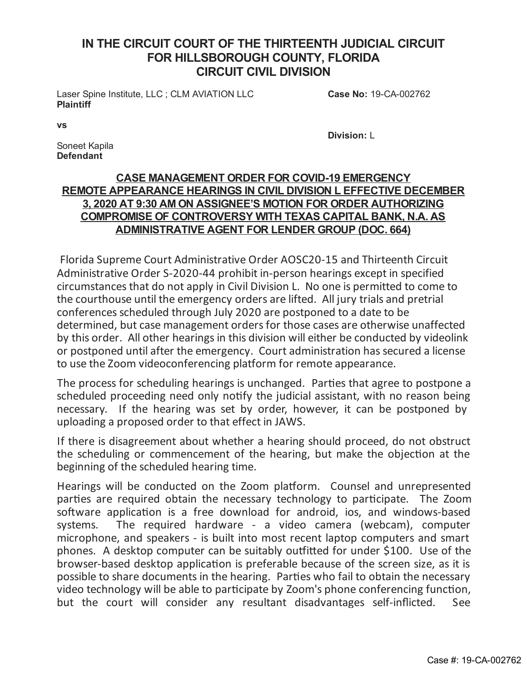## **IN THE CIRCUIT COURT OF THE THIRTEENTH JUDICIAL CIRCUIT FOR HILLSBOROUGH COUNTY, FLORIDA CIRCUIT CIVIL DIVISION**

Laser Spine Institute, LLC ; CLM AVIATION LLC **Plaintiff**

**Case No:** 19-CA-002762

**vs**

**Division:** L

Soneet Kapila **Defendant**

## **CASE MANAGEMENT ORDER FOR COVID-19 EMERGENCY REMOTE APPEARANCE HEARINGS IN CIVIL DIVISION L EFFECTIVE DECEMBER 3, 2020 AT 9:30 AM ON ASSIGNEE'S MOTION FOR ORDER AUTHORIZING COMPROMISE OF CONTROVERSY WITH TEXAS CAPITAL BANK, N.A. AS ADMINISTRATIVE AGENT FOR LENDER GROUP (DOC. 664)**

Florida Supreme Court Administrative Order AOSC20-15 and Thirteenth Circuit Administrative Order S-2020-44 prohibit in-person hearings except in specified circumstances that do notapply in Civil Division L. No one is permitted to come to the courthouse until the emergency ordersare lifted. All jury trialsand pretrial conferences scheduled through July 2020 are postponed to a date to be determined, but case management orders for those cases are otherwise unaffected by this order. All other hearings in this division will either be conducted by videolink or postponed until after the emergency. Court administration has secured a license to use the Zoom videoconferencing platform for remote appearance.

The process for scheduling hearings is unchanged. Parties that agree to postpone a scheduled proceeding need only notify the judicial assistant, with no reason being necessary. If the hearing was set by order, however, it can be postponed by uploadinga proposed order to that effect in JAWS.

If there is disagreement about whether a hearing should proceed, do not obstruct the scheduling or commencement of the hearing, but make the objection at the beginning of the scheduled hearing time.

Hearings will be conducted on the Zoom platform. Counsel and unrepresented parties are required obtain the necessary technology to participate. The Zoom software application is a free download for android, ios, and windows-based systems. The required hardware - a video camera (webcam), computer microphone, and speakers - is built into most recent laptop computers and smart phones. A desktop computer can be suitably outfitted for under \$100. Use of the browser-based desktop application is preferable because of the screen size, as it is possible to share documents in the hearing. Parties who fail to obtain the necessary video technology will be able to participate by Zoom's phone conferencing function, but the court will consider any resultant disadvantages self-inflicted. See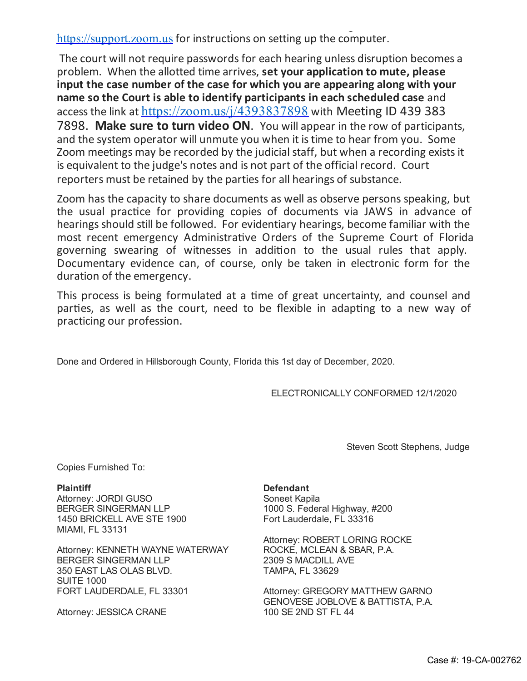but the court will consider any resultant disadvantages self-inflicted. See [https://support.zoom.us](https://support.zoom.us/) for instructions on setting up the computer.

The court will not require passwords for each hearing unless disruption becomes a problem. When the allotted time arrives, **set your application to mute, please input the case number of the case for which you are appearing along with your name so the Court is able to identify participants in each scheduled case** and access the link at <https://zoom.us/j/4393837898> with Meeting ID 439 383 7898. **Make sure to turn video ON**. You willappear in the row of participants, and the system operator will unmute you when it is time to hear from you. Some Zoom meetings may be recorded by the judicial staff, but when a recording exists it is equivalent to the judge's notesand is not part of the official record. Court reporters must be retained by the parties for all hearings of substance.

Zoom has the capacity to share documents as well as observe persons speaking, but the usual practice for providing copies of documents via JAWS in advance of hearings should still be followed. For evidentiary hearings, become familiar with the most recent emergency Administrative Orders of the Supreme Court of Florida governing swearing of witnesses in addition to the usual rules that apply. Documentary evidence can, of course, only be taken in electronic form for the duration of the emergency.

This process is being formulated at a time of great uncertainty, and counsel and parties, as well as the court, need to be flexible in adapting to a new way of practicing our profession.

Done and Ordered in Hillsborough County, Florida this 1st day of December, 2020.

ELECTRONICALLY CONFORMED 12/1/2020

Steven Scott Stephens, Judge

Copies Furnished To:

Attorney: JORDI GUSO BERGER SINGERMAN LLP 1450 BRICKELL AVE STE 1900 MIAMI, FL 33131

Attorney: KENNETH WAYNE WATERWAY BERGER SINGERMAN LLP 350 EAST LAS OLAS BLVD. SUITE 1000 FORT LAUDERDALE, FL 33301

Attorney: JESSICA CRANE

## **Plaintiff Defendant**

Soneet Kapila 1000 S. Federal Highway, #200 Fort Lauderdale, FL 33316

Attorney: ROBERT LORING ROCKE ROCKE, MCLEAN & SBAR, P.A. 2309 S MACDILL AVE TAMPA, FL 33629

Attorney: GREGORY MATTHEW GARNO GENOVESE JOBLOVE & BATTISTA, P.A. 100 SE 2ND ST FL 44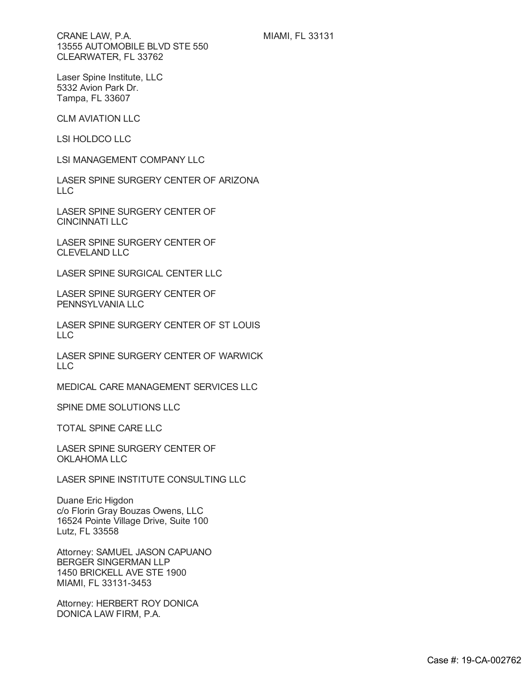CRANE LAW, P.A. 13555 AUTOMOBILE BLVD STE 550 CLEARWATER, FL 33762

Laser Spine Institute, LLC 5332 Avion Park Dr. Tampa, FL 33607

CLM AVIATION LLC

LSI HOLDCO LLC

LSI MANAGEMENT COMPANY LLC

LASER SPINE SURGERY CENTER OF ARIZONA LLC

LASER SPINE SURGERY CENTER OF CINCINNATI LLC

LASER SPINE SURGERY CENTER OF CLEVELAND LLC

LASER SPINE SURGICAL CENTER LLC

LASER SPINE SURGERY CENTER OF PENNSYLVANIA LLC

LASER SPINE SURGERY CENTER OF ST LOUIS LLC

LASER SPINE SURGERY CENTER OF WARWICK LLC

MEDICAL CARE MANAGEMENT SERVICES LLC

SPINE DME SOLUTIONS LLC

TOTAL SPINE CARE LLC

LASER SPINE SURGERY CENTER OF OKLAHOMA LLC

LASER SPINE INSTITUTE CONSULTING LLC

Duane Eric Higdon c/o Florin Gray Bouzas Owens, LLC 16524 Pointe Village Drive, Suite 100 Lutz, FL 33558

Attorney: SAMUEL JASON CAPUANO BERGER SINGERMAN LLP 1450 BRICKELL AVE STE 1900 MIAMI, FL 33131-3453

Attorney: HERBERT ROY DONICA DONICA LAW FIRM, P.A.